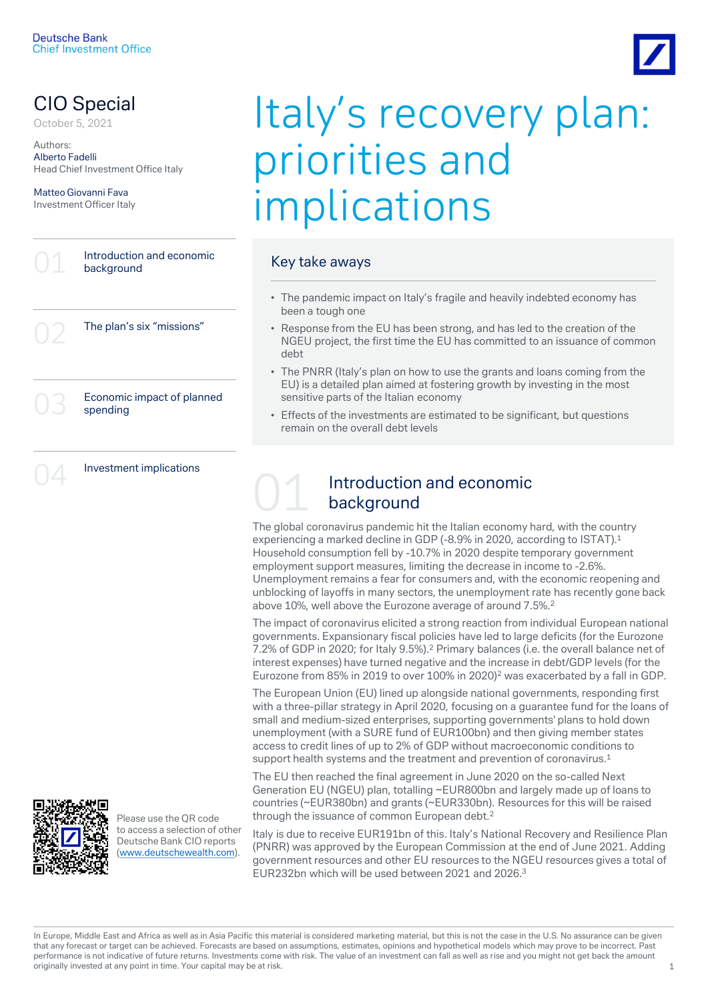# CIO Special

Authors: Alberto Fadelli Head Chief Investment Office Italy

Matteo Giovanni Fava Investment Officer Italy

> Introduction and economic background

> > The plan's six "missions"

Economic impact of planned spending

Investment implications



Please use the QR code to access a selection of other Deutsche Bank CIO reports ([www.deutschewealth.com](http://www.deutschewealth.com/)).

# CIO Special ltaly's recovery plan: priorities and implications

# Key take aways

- The pandemic impact on Italy's fragile and heavily indebted economy has been a tough one
- Response from the EU has been strong, and has led to the creation of the NGEU project, the first time the EU has committed to an issuance of common debt
- The PNRR (Italy's plan on how to use the grants and loans coming from the EU) is a detailed plan aimed at fostering growth by investing in the most sensitive parts of the Italian economy
- Effects of the investments are estimated to be significant, but questions remain on the overall debt levels



# Introduction and economic background

The global coronavirus pandemic hit the Italian economy hard, with the country experiencing a marked decline in GDP (-8.9% in 2020, according to ISTAT).<sup>1</sup> Household consumption fell by -10.7% in 2020 despite temporary government employment support measures, limiting the decrease in income to -2.6%. Unemployment remains a fear for consumers and, with the economic reopening and unblocking of layoffs in many sectors, the unemployment rate has recently gone back above 10%, well above the Eurozone average of around 7.5%.<sup>2</sup>

The impact of coronavirus elicited a strong reaction from individual European national governments. Expansionary fiscal policies have led to large deficits (for the Eurozone 7.2% of GDP in 2020; for Italy 9.5%).<sup>2</sup> Primary balances (i.e. the overall balance net of interest expenses) have turned negative and the increase in debt/GDP levels (for the Eurozone from 85% in 2019 to over 100% in 2020)<sup>2</sup> was exacerbated by a fall in GDP.

The European Union (EU) lined up alongside national governments, responding first with a three-pillar strategy in April 2020, focusing on a guarantee fund for the loans of small and medium-sized enterprises, supporting governments' plans to hold down unemployment (with a SURE fund of EUR100bn) and then giving member states access to credit lines of up to 2% of GDP without macroeconomic conditions to support health systems and the treatment and prevention of coronavirus.<sup>1</sup>

The EU then reached the final agreement in June 2020 on the so-called Next Generation EU (NGEU) plan, totalling ~EUR800bn and largely made up of loans to countries (~EUR380bn) and grants (~EUR330bn). Resources for this will be raised through the issuance of common European debt.<sup>2</sup>

Italy is due to receive EUR191bn of this. Italy's National Recovery and Resilience Plan (PNRR) was approved by the European Commission at the end of June 2021. Adding government resources and other EU resources to the NGEU resources gives a total of EUR232bn which will be used between 2021 and 2026.<sup>3</sup>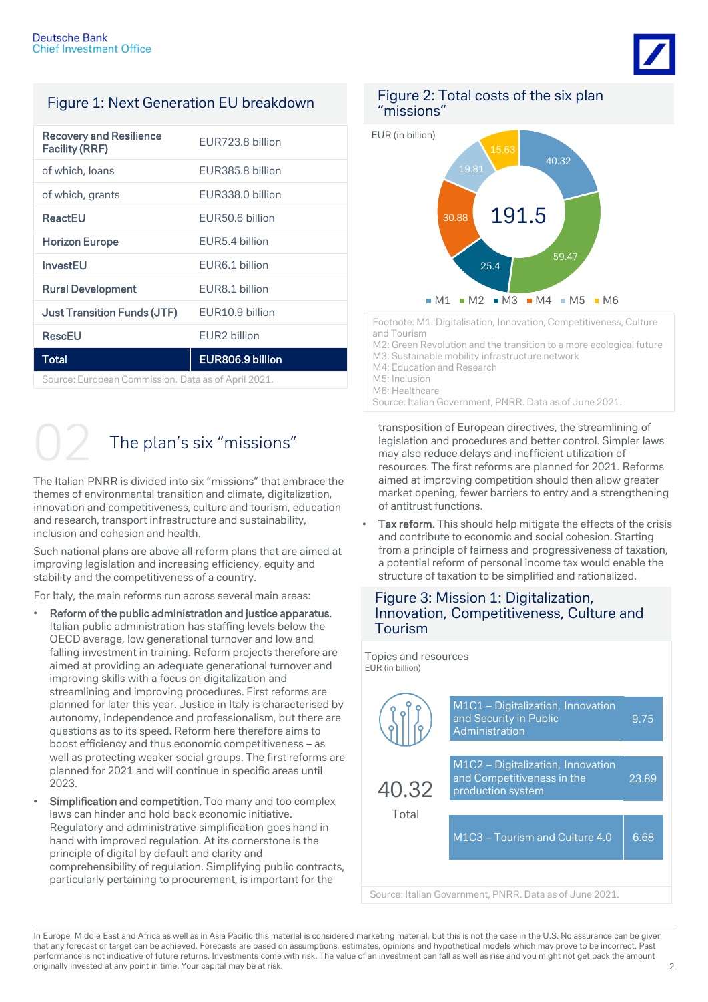

# Figure 1: Next Generation EU breakdown

| <b>Recovery and Resilience</b><br><b>Facility (RRF)</b> | EUR723.8 billion         |  |  |  |
|---------------------------------------------------------|--------------------------|--|--|--|
| of which, loans                                         | EUR385.8 billion         |  |  |  |
| of which, grants                                        | EUR338.0 billion         |  |  |  |
| ReactEU                                                 | EUR50.6 billion          |  |  |  |
| <b>Horizon Europe</b>                                   | EUR5.4 billion           |  |  |  |
| InvestEU                                                | EUR6.1 billion           |  |  |  |
| <b>Rural Development</b>                                | EUR8.1 billion           |  |  |  |
| <b>Just Transition Funds (JTF)</b>                      | EUR10.9 billion          |  |  |  |
| <b>RescEU</b>                                           | EUR <sub>2</sub> billion |  |  |  |
| <b>Total</b>                                            | EUR806.9 billion         |  |  |  |
| Course: European Commission, Deta so of April 2021      |                          |  |  |  |

Source: European Commission. Data as of April 2021.

# The plan's six "missions"

The Italian PNRR is divided into six "missions" that embrace the themes of environmental transition and climate, digitalization, innovation and competitiveness, culture and tourism, education and research, transport infrastructure and sustainability, inclusion and cohesion and health.

Such national plans are above all reform plans that are aimed at improving legislation and increasing efficiency, equity and stability and the competitiveness of a country.

For Italy, the main reforms run across several main areas:

- Reform of the public administration and justice apparatus. Italian public administration has staffing levels below the OECD average, low generational turnover and low and falling investment in training. Reform projects therefore are aimed at providing an adequate generational turnover and improving skills with a focus on digitalization and streamlining and improving procedures. First reforms are planned for later this year. Justice in Italy is characterised by autonomy, independence and professionalism, but there are questions as to its speed. Reform here therefore aims to boost efficiency and thus economic competitiveness – as well as protecting weaker social groups. The first reforms are planned for 2021 and will continue in specific areas until 2023.
- Simplification and competition. Too many and too complex laws can hinder and hold back economic initiative. Regulatory and administrative simplification goes hand in hand with improved regulation. At its cornerstone is the principle of digital by default and clarity and comprehensibility of regulation. Simplifying public contracts, particularly pertaining to procurement, is important for the

# Figure 2: Total costs of the six plan "missions"



Footnote: M1: Digitalisation, Innovation, Competitiveness, Culture and Tourism

M2: Green Revolution and the transition to a more ecological future M3: Sustainable mobility infrastructure network M4: Education and Research M5: Inclusion M6: Healthcare

Source: Italian Government, PNRR. Data as of June 2021.

transposition of European directives, the streamlining of legislation and procedures and better control. Simpler laws may also reduce delays and inefficient utilization of resources. The first reforms are planned for 2021. Reforms aimed at improving competition should then allow greater market opening, fewer barriers to entry and a strengthening of antitrust functions.

Tax reform. This should help mitigate the effects of the crisis and contribute to economic and social cohesion. Starting from a principle of fairness and progressiveness of taxation, a potential reform of personal income tax would enable the structure of taxation to be simplified and rationalized.

# Figure 3: Mission 1: Digitalization, Innovation, Competitiveness, Culture and Tourism

| Topics and resources<br>EUR (in billion) |                                                                                      |       |
|------------------------------------------|--------------------------------------------------------------------------------------|-------|
|                                          | M1C1 - Digitalization, Innovation<br>and Security in Public<br>Administration        | 9.75  |
| 40.32<br>Total                           | M1C2 - Digitalization, Innovation<br>and Competitiveness in the<br>production system | 23.89 |
|                                          | M1C3 - Tourism and Culture 4.0                                                       | 6.68  |
|                                          |                                                                                      |       |

Source: Italian Government, PNRR. Data as of June 2021.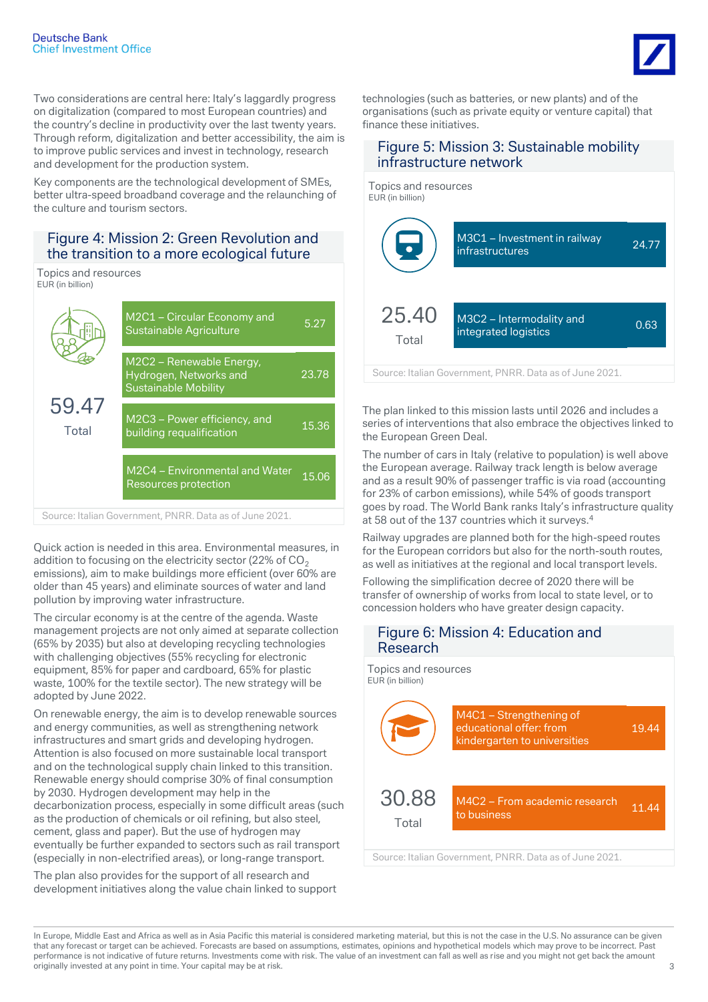

Two considerations are central here: Italy's laggardly progress on digitalization (compared to most European countries) and the country's decline in productivity over the last twenty years. Through reform, digitalization and better accessibility, the aim is to improve public services and invest in technology, research and development for the production system.

Key components are the technological development of SMEs, better ultra-speed broadband coverage and the relaunching of the culture and tourism sectors.

# Figure 4: Mission 2: Green Revolution and the transition to a more ecological future

Topics and resources EUR (in billion)



Quick action is needed in this area. Environmental measures, in addition to focusing on the electricity sector (22% of  $CO<sub>2</sub>$ ) emissions), aim to make buildings more efficient (over 60% are older than 45 years) and eliminate sources of water and land pollution by improving water infrastructure.

The circular economy is at the centre of the agenda. Waste management projects are not only aimed at separate collection (65% by 2035) but also at developing recycling technologies with challenging objectives (55% recycling for electronic equipment, 85% for paper and cardboard, 65% for plastic waste, 100% for the textile sector). The new strategy will be adopted by June 2022.

On renewable energy, the aim is to develop renewable sources and energy communities, as well as strengthening network infrastructures and smart grids and developing hydrogen. Attention is also focused on more sustainable local transport and on the technological supply chain linked to this transition. Renewable energy should comprise 30% of final consumption by 2030. Hydrogen development may help in the decarbonization process, especially in some difficult areas (such as the production of chemicals or oil refining, but also steel, cement, glass and paper). But the use of hydrogen may eventually be further expanded to sectors such as rail transport (especially in non-electrified areas), or long-range transport.

The plan also provides for the support of all research and development initiatives along the value chain linked to support technologies (such as batteries, or new plants) and of the organisations (such as private equity or venture capital) that finance these initiatives.

## Figure 5: Mission 3: Sustainable mobility infrastructure network



Source: Italian Government, PNRR. Data as of June 2021.

The plan linked to this mission lasts until 2026 and includes a series of interventions that also embrace the objectives linked to the European Green Deal.

The number of cars in Italy (relative to population) is well above the European average. Railway track length is below average and as a result 90% of passenger traffic is via road (accounting for 23% of carbon emissions), while 54% of goods transport goes by road. The World Bank ranks Italy's infrastructure quality at 58 out of the 137 countries which it surveys.<sup>4</sup>

Railway upgrades are planned both for the high-speed routes for the European corridors but also for the north-south routes, as well as initiatives at the regional and local transport levels.

Following the simplification decree of 2020 there will be transfer of ownership of works from local to state level, or to concession holders who have greater design capacity.

# Figure 6: Mission 4: Education and Research



Source: Italian Government, PNRR. Data as of June 2021.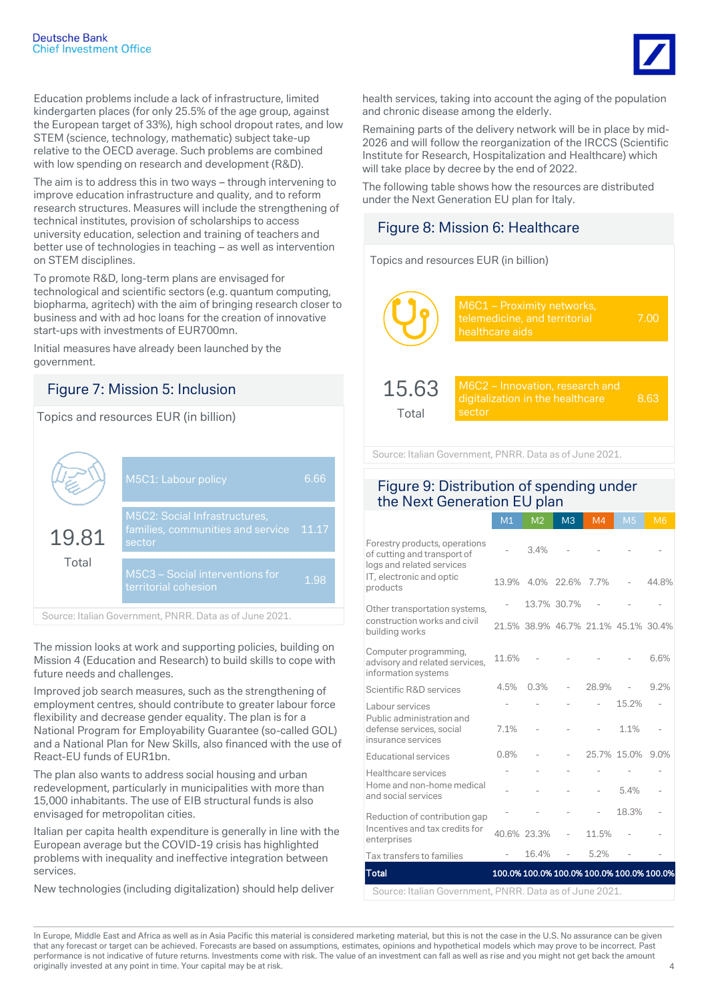Education problems include a lack of infrastructure, limited kindergarten places (for only 25.5% of the age group, against the European target of 33%), high school dropout rates, and low STEM (science, technology, mathematic) subject take-up relative to the OECD average. Such problems are combined with low spending on research and development (R&D).

The aim is to address this in two ways – through intervening to improve education infrastructure and quality, and to reform research structures. Measures will include the strengthening of technical institutes, provision of scholarships to access university education, selection and training of teachers and better use of technologies in teaching – as well as intervention on STEM disciplines.

To promote R&D, long-term plans are envisaged for technological and scientific sectors (e.g. quantum computing, biopharma, agritech) with the aim of bringing research closer to business and with ad hoc loans for the creation of innovative start-ups with investments of EUR700mn.

Initial measures have already been launched by the government.

# Figure 7: Mission 5: Inclusion

Topics and resources EUR (in billion)

|                | M5C1: Labour policy                                                                 | 6.66  |
|----------------|-------------------------------------------------------------------------------------|-------|
| 19.81<br>Total | <b>M5C2: Social Infrastructures,</b><br>families, communities and service<br>sector | 11.17 |
|                | M5C3 - Social interventions for<br>territorial cohesion                             | 1.98  |

Source: Italian Government, PNRR. Data as of June 2021.

The mission looks at work and supporting policies, building on Mission 4 (Education and Research) to build skills to cope with future needs and challenges.

Improved job search measures, such as the strengthening of employment centres, should contribute to greater labour force flexibility and decrease gender equality. The plan is for a National Program for Employability Guarantee (so-called GOL) and a National Plan for New Skills, also financed with the use of React-EU funds of EUR1bn.

The plan also wants to address social housing and urban redevelopment, particularly in municipalities with more than 15,000 inhabitants. The use of EIB structural funds is also envisaged for metropolitan cities.

Italian per capita health expenditure is generally in line with the European average but the COVID-19 crisis has highlighted problems with inequality and ineffective integration between services.

New technologies (including digitalization) should help deliver

health services, taking into account the aging of the population and chronic disease among the elderly.

Remaining parts of the delivery network will be in place by mid-2026 and will follow the reorganization of the IRCCS (Scientific Institute for Research, Hospitalization and Healthcare) which will take place by decree by the end of 2022.

The following table shows how the resources are distributed under the Next Generation EU plan for Italy.

# Figure 8: Mission 6: Healthcare

Topics and resources EUR (in billion)

|                | M6C1 - Proximity networks,<br>telemedicine, and territorial<br>healthcare aids | 7 OO |
|----------------|--------------------------------------------------------------------------------|------|
| 15.63<br>Total | M6C2 – Innovation, research and<br>digitalization in the healthcare<br>sector  | 8.63 |

Source: Italian Government, PNRR. Data as of June 2021.

# Figure 9: Distribution of spending under the Next Generation EU plan

|                                                                                           | M1    | M <sub>2</sub> | M <sub>3</sub>   | M4                                  | M <sub>5</sub> | M <sub>6</sub>                            |
|-------------------------------------------------------------------------------------------|-------|----------------|------------------|-------------------------------------|----------------|-------------------------------------------|
| Forestry products, operations<br>of cutting and transport of<br>logs and related services |       | 3.4%           |                  |                                     |                |                                           |
| IT, electronic and optic<br>products                                                      |       |                | 13.9% 4.0% 22.6% | 7.7%                                |                | 44.8%                                     |
| Other transportation systems,                                                             |       |                | 13.7% 30.7%      |                                     |                |                                           |
| construction works and civil<br>building works                                            |       |                |                  | 21.5% 38.9% 46.7% 21.1% 45.1% 30.4% |                |                                           |
| Computer programming,<br>advisory and related services,<br>information systems            | 11.6% |                |                  |                                     |                | 6.6%                                      |
| Scientific R&D services                                                                   | 4.5%  | 0.3%           |                  | 28.9%                               |                | 9.2%                                      |
| Labour services                                                                           |       |                |                  |                                     | 15.2%          |                                           |
| Public administration and<br>defense services, social<br>insurance services               | 7.1%  |                |                  |                                     | 1.1%           |                                           |
| Educational services                                                                      | 0.8%  |                |                  |                                     | 25.7% 15.0%    | 9.0%                                      |
| Healthcare services                                                                       |       |                |                  |                                     |                |                                           |
| Home and non-home medical<br>and social services                                          |       |                |                  | $\overline{a}$                      | 5.4%           |                                           |
| Reduction of contribution gap                                                             |       |                |                  | $\overline{a}$                      | 18.3%          |                                           |
| Incentives and tax credits for<br>enterprises                                             |       | 40.6% 23.3%    |                  | 11.5%                               |                |                                           |
| Tax transfers to families                                                                 |       | 16.4%          |                  | 5.2%                                |                |                                           |
| <b>Total</b>                                                                              |       |                |                  |                                     |                | 100.0% 100.0% 100.0% 100.0% 100.0% 100.0% |
| Source: Italian Covernment, DNDD, Data as of June 2021                                    |       |                |                  |                                     |                |                                           |

Source: Italian Government, PNRR. Data as of June 2021.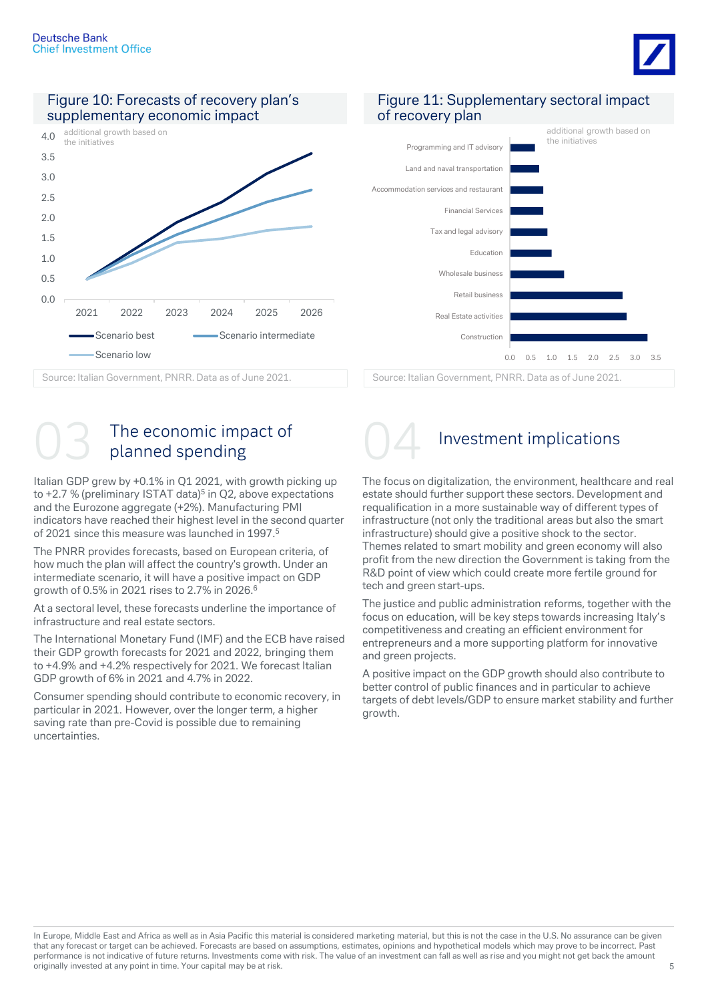







O3 The economic impact of 04 Investment implications

Italian GDP grew by +0.1% in Q1 2021, with growth picking up to +2.7 % (preliminary ISTAT data)<sup>5</sup> in Q2, above expectations and the Eurozone aggregate (+2%). Manufacturing PMI indicators have reached their highest level in the second quarter of 2021 since this measure was launched in 1997.<sup>5</sup>

The PNRR provides forecasts, based on European criteria, of how much the plan will affect the country's growth. Under an intermediate scenario, it will have a positive impact on GDP growth of 0.5% in 2021 rises to 2.7% in 2026.<sup>6</sup>

At a sectoral level, these forecasts underline the importance of infrastructure and real estate sectors.

The International Monetary Fund (IMF) and the ECB have raised their GDP growth forecasts for 2021 and 2022, bringing them to +4.9% and +4.2% respectively for 2021. We forecast Italian GDP growth of 6% in 2021 and 4.7% in 2022.

Consumer spending should contribute to economic recovery, in particular in 2021. However, over the longer term, a higher saving rate than pre-Covid is possible due to remaining uncertainties.



The focus on digitalization, the environment, healthcare and real estate should further support these sectors. Development and requalification in a more sustainable way of different types of infrastructure (not only the traditional areas but also the smart infrastructure) should give a positive shock to the sector. Themes related to smart mobility and green economy will also profit from the new direction the Government is taking from the R&D point of view which could create more fertile ground for tech and green start-ups.

The justice and public administration reforms, together with the focus on education, will be key steps towards increasing Italy's competitiveness and creating an efficient environment for entrepreneurs and a more supporting platform for innovative and green projects.

A positive impact on the GDP growth should also contribute to better control of public finances and in particular to achieve targets of debt levels/GDP to ensure market stability and further growth.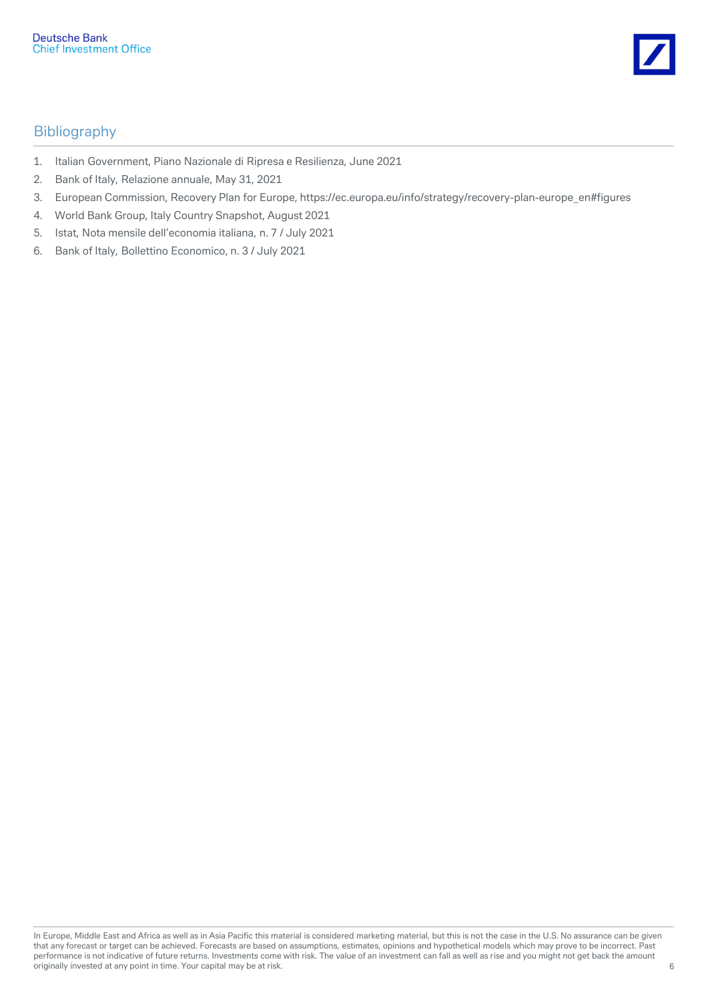

# Bibliography

- 1. Italian Government, Piano Nazionale di Ripresa e Resilienza, June 2021
- 2. Bank of Italy, Relazione annuale, May 31, 2021
- 3. European Commission, Recovery Plan for Europe, https://ec.europa.eu/info/strategy/recovery-plan-europe\_en#figures
- 4. World Bank Group, Italy Country Snapshot, August 2021
- 5. Istat, Nota mensile dell'economia italiana, n. 7 / July 2021
- 6. Bank of Italy, Bollettino Economico, n. 3 / July 2021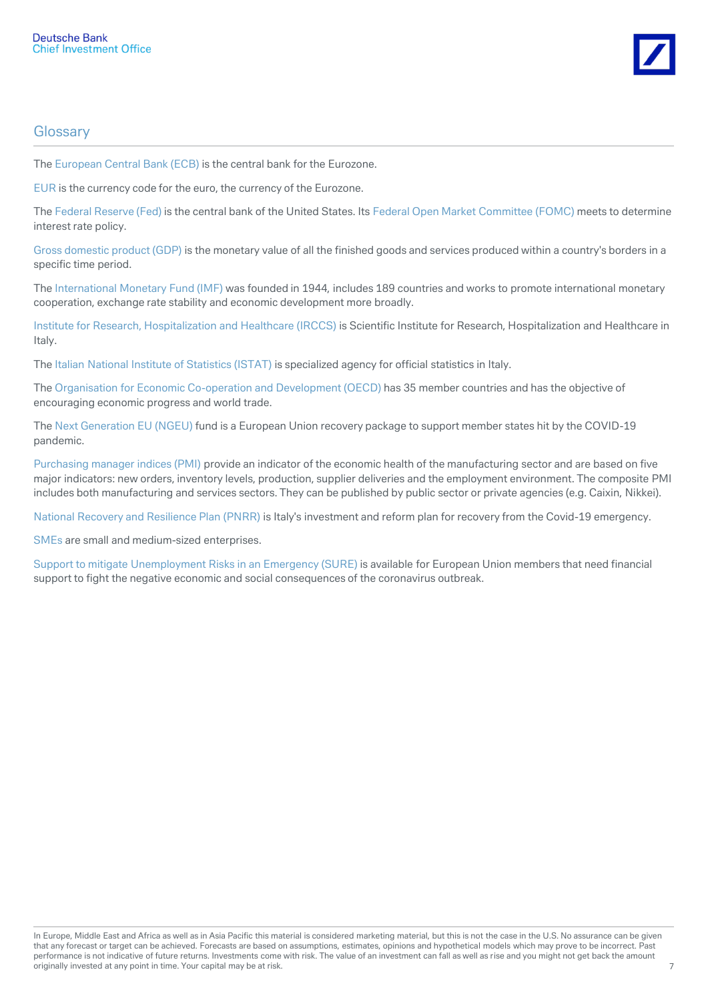

# **Glossary**

The European Central Bank (ECB) is the central bank for the Eurozone.

EUR is the currency code for the euro, the currency of the Eurozone.

The Federal Reserve (Fed) is the central bank of the United States. Its Federal Open Market Committee (FOMC) meets to determine interest rate policy.

Gross domestic product (GDP) is the monetary value of all the finished goods and services produced within a country's borders in a specific time period.

The International Monetary Fund (IMF) was founded in 1944, includes 189 countries and works to promote international monetary cooperation, exchange rate stability and economic development more broadly.

Institute for Research, Hospitalization and Healthcare (IRCCS) is Scientific Institute for Research, Hospitalization and Healthcare in Italy.

The Italian National Institute of Statistics (ISTAT) is specialized agency for official statistics in Italy.

The Organisation for Economic Co-operation and Development (OECD) has 35 member countries and has the objective of encouraging economic progress and world trade.

The Next Generation EU (NGEU) fund is a European Union recovery package to support member states hit by the COVID-19 pandemic.

Purchasing manager indices (PMI) provide an indicator of the economic health of the manufacturing sector and are based on five major indicators: new orders, inventory levels, production, supplier deliveries and the employment environment. The composite PMI includes both manufacturing and services sectors. They can be published by public sector or private agencies (e.g. Caixin, Nikkei).

National Recovery and Resilience Plan (PNRR) is Italy's investment and reform plan for recovery from the Covid-19 emergency.

SMEs are small and medium-sized enterprises.

Support to mitigate Unemployment Risks in an Emergency (SURE) is available for European Union members that need financial support to fight the negative economic and social consequences of the coronavirus outbreak.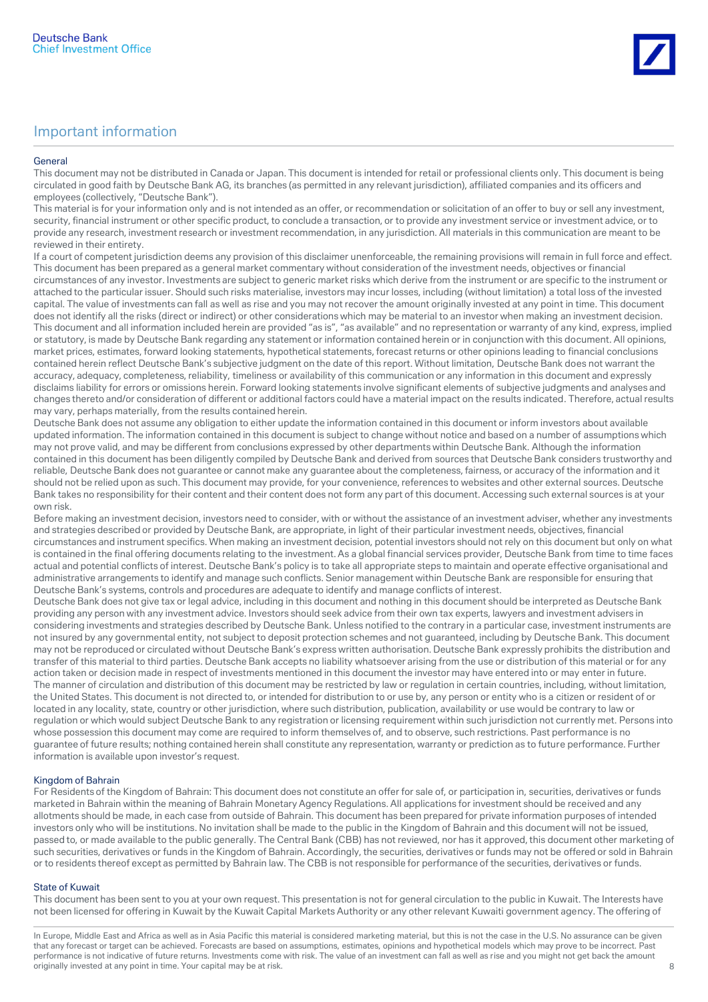#### General

This document may not be distributed in Canada or Japan. This document is intended for retail or professional clients only. This document is being circulated in good faith by Deutsche Bank AG, its branches (as permitted in any relevant jurisdiction), affiliated companies and its officers and employees (collectively, "Deutsche Bank").

This material is for your information only and is not intended as an offer, or recommendation or solicitation of an offer to buy or sell any investment, security, financial instrument or other specific product, to conclude a transaction, or to provide any investment service or investment advice, or to provide any research, investment research or investment recommendation, in any jurisdiction. All materials in this communication are meant to be reviewed in their entirety.

If a court of competent jurisdiction deems any provision of this disclaimer unenforceable, the remaining provisions will remain in full force and effect. This document has been prepared as a general market commentary without consideration of the investment needs, objectives or financial circumstances of any investor. Investments are subject to generic market risks which derive from the instrument or are specific to the instrument or attached to the particular issuer. Should such risks materialise, investors may incur losses, including (without limitation) a total loss of the invested capital. The value of investments can fall as well as rise and you may not recover the amount originally invested at any point in time. This document does not identify all the risks (direct or indirect) or other considerations which may be material to an investor when making an investment decision. This document and all information included herein are provided "as is", "as available" and no representation or warranty of any kind, express, implied or statutory, is made by Deutsche Bank regarding any statement or information contained herein or in conjunction with this document. All opinions, market prices, estimates, forward looking statements, hypothetical statements, forecast returns or other opinions leading to financial conclusions contained herein reflect Deutsche Bank's subjective judgment on the date of this report. Without limitation, Deutsche Bank does not warrant the accuracy, adequacy, completeness, reliability, timeliness or availability of this communication or any information in this document and expressly disclaims liability for errors or omissions herein. Forward looking statements involve significant elements of subjective judgments and analyses and changes thereto and/or consideration of different or additional factors could have a material impact on the results indicated. Therefore, actual results may vary, perhaps materially, from the results contained herein.

Deutsche Bank does not assume any obligation to either update the information contained in this document or inform investors about available updated information. The information contained in this document is subject to change without notice and based on a number of assumptions which may not prove valid, and may be different from conclusions expressed by other departments within Deutsche Bank. Although the information contained in this document has been diligently compiled by Deutsche Bank and derived from sources that Deutsche Bank considers trustworthy and reliable, Deutsche Bank does not guarantee or cannot make any guarantee about the completeness, fairness, or accuracy of the information and it should not be relied upon as such. This document may provide, for your convenience, references to websites and other external sources. Deutsche Bank takes no responsibility for their content and their content does not form any part of this document. Accessing such external sources is at your own risk.

Before making an investment decision, investors need to consider, with or without the assistance of an investment adviser, whether any investments and strategies described or provided by Deutsche Bank, are appropriate, in light of their particular investment needs, objectives, financial circumstances and instrument specifics. When making an investment decision, potential investors should not rely on this document but only on what is contained in the final offering documents relating to the investment. As a global financial services provider, Deutsche Bank from time to time faces actual and potential conflicts of interest. Deutsche Bank's policy is to take all appropriate steps to maintain and operate effective organisational and administrative arrangements to identify and manage such conflicts. Senior management within Deutsche Bank are responsible for ensuring that Deutsche Bank's systems, controls and procedures are adequate to identify and manage conflicts of interest.

Deutsche Bank does not give tax or legal advice, including in this document and nothing in this document should be interpreted as Deutsche Bank providing any person with any investment advice. Investors should seek advice from their own tax experts, lawyers and investment advisers in considering investments and strategies described by Deutsche Bank. Unless notified to the contrary in a particular case, investment instruments are not insured by any governmental entity, not subject to deposit protection schemes and not guaranteed, including by Deutsche Bank. This document may not be reproduced or circulated without Deutsche Bank's express written authorisation. Deutsche Bank expressly prohibits the distribution and transfer of this material to third parties. Deutsche Bank accepts no liability whatsoever arising from the use or distribution of this material or for any action taken or decision made in respect of investments mentioned in this document the investor may have entered into or may enter in future. The manner of circulation and distribution of this document may be restricted by law or regulation in certain countries, including, without limitation, the United States. This document is not directed to, or intended for distribution to or use by, any person or entity who is a citizen or resident of or located in any locality, state, country or other jurisdiction, where such distribution, publication, availability or use would be contrary to law or regulation or which would subject Deutsche Bank to any registration or licensing requirement within such jurisdiction not currently met. Persons into whose possession this document may come are required to inform themselves of, and to observe, such restrictions. Past performance is no guarantee of future results; nothing contained herein shall constitute any representation, warranty or prediction as to future performance. Further information is available upon investor's request.

### Kingdom of Bahrain

For Residents of the Kingdom of Bahrain: This document does not constitute an offer for sale of, or participation in, securities, derivatives or funds marketed in Bahrain within the meaning of Bahrain Monetary Agency Regulations. All applications for investment should be received and any allotments should be made, in each case from outside of Bahrain. This document has been prepared for private information purposes of intended investors only who will be institutions. No invitation shall be made to the public in the Kingdom of Bahrain and this document will not be issued, passed to, or made available to the public generally. The Central Bank (CBB) has not reviewed, nor has it approved, this document other marketing of such securities, derivatives or funds in the Kingdom of Bahrain. Accordingly, the securities, derivatives or funds may not be offered or sold in Bahrain or to residents thereof except as permitted by Bahrain law. The CBB is not responsible for performance of the securities, derivatives or funds.

#### State of Kuwait

This document has been sent to you at your own request. This presentation is not for general circulation to the public in Kuwait. The Interests have not been licensed for offering in Kuwait by the Kuwait Capital Markets Authority or any other relevant Kuwaiti government agency. The offering of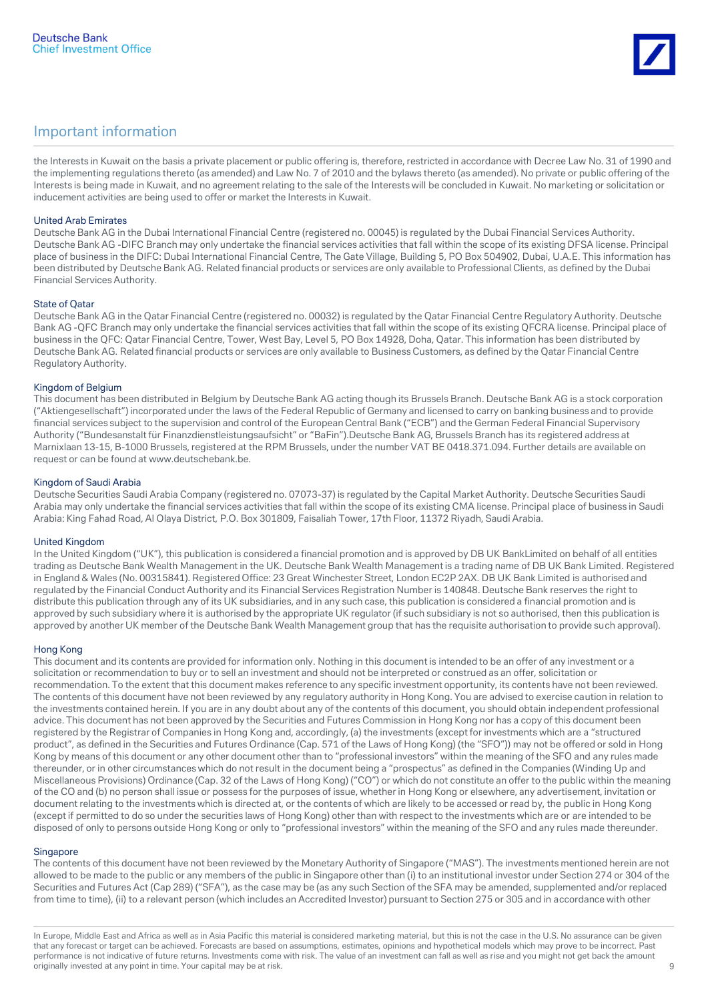

the Interests in Kuwait on the basis a private placement or public offering is, therefore, restricted in accordance with Decree Law No. 31 of 1990 and the implementing regulations thereto (as amended) and Law No. 7 of 2010 and the bylaws thereto (as amended). No private or public offering of the Interests is being made in Kuwait, and no agreement relating to the sale of the Interests will be concluded in Kuwait. No marketing or solicitation or inducement activities are being used to offer or market the Interests in Kuwait.

#### United Arab Emirates

Deutsche Bank AG in the Dubai International Financial Centre (registered no. 00045) is regulated by the Dubai Financial Services Authority. Deutsche Bank AG -DIFC Branch may only undertake the financial services activities that fall within the scope of its existing DFSA license. Principal place of business in the DIFC: Dubai International Financial Centre, The Gate Village, Building 5, PO Box 504902, Dubai, U.A.E. This information has been distributed by Deutsche Bank AG. Related financial products or services are only available to Professional Clients, as defined by the Dubai Financial Services Authority.

#### State of Qatar

Deutsche Bank AG in the Qatar Financial Centre (registered no. 00032) is regulated by the Qatar Financial Centre Regulatory Authority. Deutsche Bank AG -QFC Branch may only undertake the financial services activities that fall within the scope of its existing QFCRA license. Principal place of business in the QFC: Qatar Financial Centre, Tower, West Bay, Level 5, PO Box 14928, Doha, Qatar. This information has been distributed by Deutsche Bank AG. Related financial products or services are only available to Business Customers, as defined by the Qatar Financial Centre Regulatory Authority.

#### Kingdom of Belgium

This document has been distributed in Belgium by Deutsche Bank AG acting though its Brussels Branch. Deutsche Bank AG is a stock corporation ("Aktiengesellschaft") incorporated under the laws of the Federal Republic of Germany and licensed to carry on banking business and to provide financial services subject to the supervision and control of the European Central Bank ("ECB") and the German Federal Financial Supervisory Authority ("Bundesanstalt für Finanzdienstleistungsaufsicht" or "BaFin").Deutsche Bank AG, Brussels Branch has its registered address at Marnixlaan 13-15, B-1000 Brussels, registered at the RPM Brussels, under the number VAT BE 0418.371.094. Further details are available on request or can be found at www.deutschebank.be.

#### Kingdom of Saudi Arabia

Deutsche Securities Saudi Arabia Company (registered no. 07073-37) is regulated by the Capital Market Authority. Deutsche Securities Saudi Arabia may only undertake the financial services activities that fall within the scope of its existing CMA license. Principal place of business in Saudi Arabia: King Fahad Road, Al Olaya District, P.O. Box 301809, Faisaliah Tower, 17th Floor, 11372 Riyadh, Saudi Arabia.

#### United Kingdom

In the United Kingdom ("UK"), this publication is considered a financial promotion and is approved by DB UK BankLimited on behalf of all entities trading as Deutsche Bank Wealth Management in the UK. Deutsche Bank Wealth Management is a trading name of DB UK Bank Limited. Registered in England & Wales (No. 00315841). Registered Office: 23 Great Winchester Street, London EC2P 2AX. DB UK Bank Limited is authorised and regulated by the Financial Conduct Authority and its Financial Services Registration Number is 140848. Deutsche Bank reserves the right to distribute this publication through any of its UK subsidiaries, and in any such case, this publication is considered a financial promotion and is approved by such subsidiary where it is authorised by the appropriate UK regulator (if such subsidiary is not so authorised, then this publication is approved by another UK member of the Deutsche Bank Wealth Management group that has the requisite authorisation to provide such approval).

#### Hong Kong

This document and its contents are provided for information only. Nothing in this document is intended to be an offer of any investment or a solicitation or recommendation to buy or to sell an investment and should not be interpreted or construed as an offer, solicitation or recommendation. To the extent that this document makes reference to any specific investment opportunity, its contents have not been reviewed. The contents of this document have not been reviewed by any regulatory authority in Hong Kong. You are advised to exercise caution in relation to the investments contained herein. If you are in any doubt about any of the contents of this document, you should obtain independent professional advice. This document has not been approved by the Securities and Futures Commission in Hong Kong nor has a copy of this document been registered by the Registrar of Companies in Hong Kong and, accordingly, (a) the investments (except for investments which are a "structured product", as defined in the Securities and Futures Ordinance (Cap. 571 of the Laws of Hong Kong) (the "SFO")) may not be offered or sold in Hong Kong by means of this document or any other document other than to "professional investors" within the meaning of the SFO and any rules made thereunder, or in other circumstances which do not result in the document being a "prospectus" as defined in the Companies (Winding Up and Miscellaneous Provisions) Ordinance (Cap. 32 of the Laws of Hong Kong) ("CO") or which do not constitute an offer to the public within the meaning of the CO and (b) no person shall issue or possess for the purposes of issue, whether in Hong Kong or elsewhere, any advertisement, invitation or document relating to the investments which is directed at, or the contents of which are likely to be accessed or read by, the public in Hong Kong (except if permitted to do so under the securities laws of Hong Kong) other than with respect to the investments which are or are intended to be disposed of only to persons outside Hong Kong or only to "professional investors" within the meaning of the SFO and any rules made thereunder.

#### **Singapore**

The contents of this document have not been reviewed by the Monetary Authority of Singapore ("MAS"). The investments mentioned herein are not allowed to be made to the public or any members of the public in Singapore other than (i) to an institutional investor under Section 274 or 304 of the Securities and Futures Act (Cap 289) ("SFA"), as the case may be (as any such Section of the SFA may be amended, supplemented and/or replaced from time to time), (ii) to a relevant person (which includes an Accredited Investor) pursuant to Section 275 or 305 and in accordance with other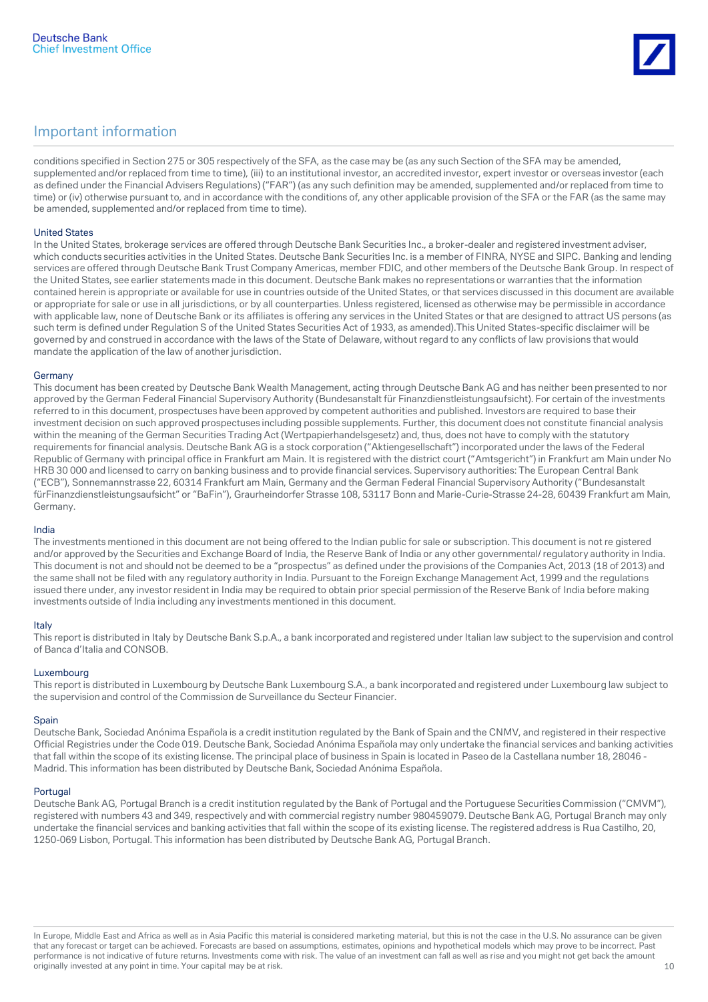

conditions specified in Section 275 or 305 respectively of the SFA, as the case may be (as any such Section of the SFA may be amended, supplemented and/or replaced from time to time), (iii) to an institutional investor, an accredited investor, expert investor or overseas investor (each as defined under the Financial Advisers Regulations) ("FAR") (as any such definition may be amended, supplemented and/or replaced from time to time) or (iv) otherwise pursuant to, and in accordance with the conditions of, any other applicable provision of the SFA or the FAR (as the same may be amended, supplemented and/or replaced from time to time).

#### United States

In the United States, brokerage services are offered through Deutsche Bank Securities Inc., a broker-dealer and registered investment adviser, which conducts securities activities in the United States. Deutsche Bank Securities Inc. is a member of FINRA, NYSE and SIPC. Banking and lending services are offered through Deutsche Bank Trust Company Americas, member FDIC, and other members of the Deutsche Bank Group. In respect of the United States, see earlier statements made in this document. Deutsche Bank makes no representations or warranties that the information contained herein is appropriate or available for use in countries outside of the United States, or that services discussed in this document are available or appropriate for sale or use in all jurisdictions, or by all counterparties. Unless registered, licensed as otherwise may be permissible in accordance with applicable law, none of Deutsche Bank or its affiliates is offering any services in the United States or that are designed to attract US persons (as such term is defined under Regulation S of the United States Securities Act of 1933, as amended).This United States-specific disclaimer will be governed by and construed in accordance with the laws of the State of Delaware, without regard to any conflicts of law provisions that would mandate the application of the law of another jurisdiction.

#### Germany

This document has been created by Deutsche Bank Wealth Management, acting through Deutsche Bank AG and has neither been presented to nor approved by the German Federal Financial Supervisory Authority (Bundesanstalt für Finanzdienstleistungsaufsicht). For certain of the investments referred to in this document, prospectuses have been approved by competent authorities and published. Investors are required to base their investment decision on such approved prospectuses including possible supplements. Further, this document does not constitute financial analysis within the meaning of the German Securities Trading Act (Wertpapierhandelsgesetz) and, thus, does not have to comply with the statutory requirements for financial analysis. Deutsche Bank AG is a stock corporation ("Aktiengesellschaft") incorporated under the laws of the Federal Republic of Germany with principal office in Frankfurt am Main. It is registered with the district court ("Amtsgericht") in Frankfurt am Main under No HRB 30 000 and licensed to carry on banking business and to provide financial services. Supervisory authorities: The European Central Bank ("ECB"), Sonnemannstrasse 22, 60314 Frankfurt am Main, Germany and the German Federal Financial Supervisory Authority ("Bundesanstalt fürFinanzdienstleistungsaufsicht" or "BaFin"), Graurheindorfer Strasse 108, 53117 Bonn and Marie-Curie-Strasse 24-28, 60439 Frankfurt am Main, Germany.

#### India

The investments mentioned in this document are not being offered to the Indian public for sale or subscription. This document is not re gistered and/or approved by the Securities and Exchange Board of India, the Reserve Bank of India or any other governmental/ regulatory authority in India. This document is not and should not be deemed to be a "prospectus" as defined under the provisions of the Companies Act, 2013 (18 of 2013) and the same shall not be filed with any regulatory authority in India. Pursuant to the Foreign Exchange Management Act, 1999 and the regulations issued there under, any investor resident in India may be required to obtain prior special permission of the Reserve Bank of India before making investments outside of India including any investments mentioned in this document.

#### Italy

This report is distributed in Italy by Deutsche Bank S.p.A., a bank incorporated and registered under Italian law subject to the supervision and control of Banca d'Italia and CONSOB.

#### Luxembourg

This report is distributed in Luxembourg by Deutsche Bank Luxembourg S.A., a bank incorporated and registered under Luxembourg law subject to the supervision and control of the Commission de Surveillance du Secteur Financier.

#### **Spain**

Deutsche Bank, Sociedad Anónima Española is a credit institution regulated by the Bank of Spain and the CNMV, and registered in their respective Official Registries under the Code 019. Deutsche Bank, Sociedad Anónima Española may only undertake the financial services and banking activities that fall within the scope of its existing license. The principal place of business in Spain is located in Paseo de la Castellana number 18, 28046 - Madrid. This information has been distributed by Deutsche Bank, Sociedad Anónima Española.

#### Portugal

Deutsche Bank AG, Portugal Branch is a credit institution regulated by the Bank of Portugal and the Portuguese Securities Commission ("CMVM"), registered with numbers 43 and 349, respectively and with commercial registry number 980459079. Deutsche Bank AG, Portugal Branch may only undertake the financial services and banking activities that fall within the scope of its existing license. The registered address is Rua Castilho, 20, 1250-069 Lisbon, Portugal. This information has been distributed by Deutsche Bank AG, Portugal Branch.

In Europe, Middle East and Africa as well as in Asia Pacific this material is considered marketing material, but this is not the case in the U.S. No assurance can be given that any forecast or target can be achieved. Forecasts are based on assumptions, estimates, opinions and hypothetical models which may prove to be incorrect. Past performance is not indicative of future returns. Investments come with risk. The value of an investment can fall as well as rise and you might not get back the amount originally invested at any point in time. Your capital may be at risk. 10 and 10 and 10 and 10 and 10 and 10 and 10 and 10 and 10 and 10 and 10 and 10 and 10 and 10 and 10 and 10 and 10 and 10 and 10 and 10 and 10 and 10 a